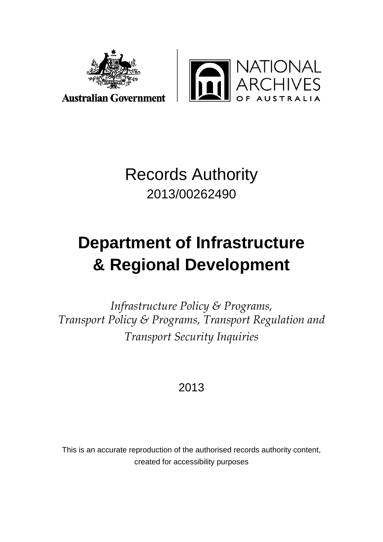

**Australian Government** 



# Records Authority 2013/00262490

# **Department of Infrastructure & Regional Development**

*Infrastructure Policy & Programs, Transport Policy & Programs, Transport Regulation and Transport Security Inquiries*

# 2013

This is an accurate reproduction of the authorised records authority content, created for accessibility purposes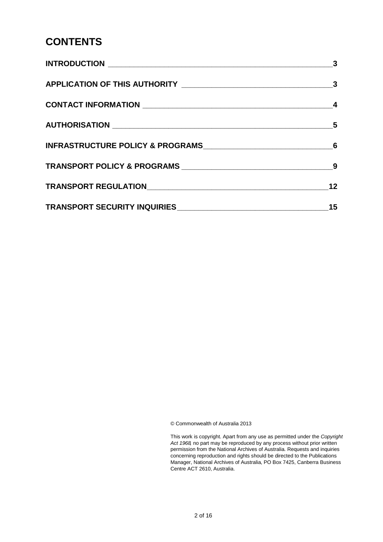### **CONTENTS**

| $\overline{\mathbf{3}}$    |
|----------------------------|
|                            |
|                            |
| $\overline{\phantom{0}}$ 5 |
|                            |
|                            |
| 12                         |
| 15                         |

© Commonwealth of Australia 2013

This work is copyright. Apart from any use as permitted under the *Copyright Act 1968,* no part may be reproduced by any process without prior written permission from the National Archives of Australia. Requests and inquiries concerning reproduction and rights should be directed to the Publications Manager, National Archives of Australia, PO Box 7425, Canberra Business Centre ACT 2610, Australia.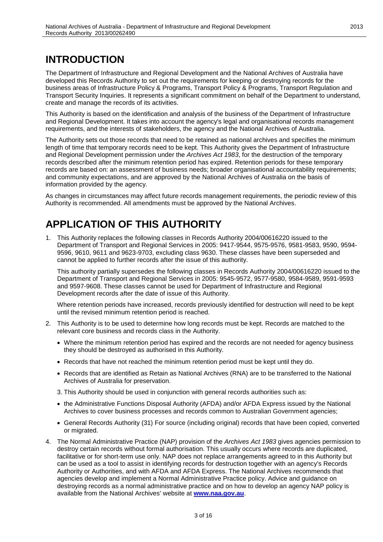# <span id="page-2-0"></span>**INTRODUCTION**

The Department of Infrastructure and Regional Development and the National Archives of Australia have developed this Records Authority to set out the requirements for keeping or destroying records for the business areas of Infrastructure Policy & Programs, Transport Policy & Programs, Transport Regulation and Transport Security Inquiries. It represents a significant commitment on behalf of the Department to understand, create and manage the records of its activities.

This Authority is based on the identification and analysis of the business of the Department of Infrastructure and Regional Development. It takes into account the agency's legal and organisational records management requirements, and the interests of stakeholders, the agency and the National Archives of Australia.

The Authority sets out those records that need to be retained as national archives and specifies the minimum length of time that temporary records need to be kept. This Authority gives the Department of Infrastructure and Regional Development permission under the *Archives Act 1983*, for the destruction of the temporary records described after the minimum retention period has expired. Retention periods for these temporary records are based on: an assessment of business needs; broader organisational accountability requirements; and community expectations, and are approved by the National Archives of Australia on the basis of information provided by the agency.

As changes in circumstances may affect future records management requirements, the periodic review of this Authority is recommended. All amendments must be approved by the National Archives.

# <span id="page-2-1"></span>**APPLICATION OF THIS AUTHORITY**

1. This Authority replaces the following classes in Records Authority 2004/00616220 issued to the Department of Transport and Regional Services in 2005: 9417-9544, 9575-9576, 9581-9583, 9590, 9594- 9596, 9610, 9611 and 9623-9703, excluding class 9630. These classes have been superseded and cannot be applied to further records after the issue of this authority.

This authority partially supersedes the following classes in Records Authority 2004/00616220 issued to the Department of Transport and Regional Services in 2005: 9545-9572, 9577-9580, 9584-9589, 9591-9593 and 9597-9608. These classes cannot be used for Department of Infrastructure and Regional Development records after the date of issue of this Authority.

Where retention periods have increased, records previously identified for destruction will need to be kept until the revised minimum retention period is reached.

- 2. This Authority is to be used to determine how long records must be kept. Records are matched to the relevant core business and records class in the Authority.
	- Where the minimum retention period has expired and the records are not needed for agency business they should be destroyed as authorised in this Authority.
	- Records that have not reached the minimum retention period must be kept until they do.
	- Records that are identified as Retain as National Archives (RNA) are to be transferred to the National Archives of Australia for preservation.
	- 3. This Authority should be used in conjunction with general records authorities such as:
	- the Administrative Functions Disposal Authority (AFDA) and/or AFDA Express issued by the National Archives to cover business processes and records common to Australian Government agencies;
	- General Records Authority (31) For source (including original) records that have been copied, converted or migrated.
- 4. The Normal Administrative Practice (NAP) provision of the *Archives Act 1983* gives agencies permission to destroy certain records without formal authorisation. This usually occurs where records are duplicated, facilitative or for short-term use only. NAP does not replace arrangements agreed to in this Authority but can be used as a tool to assist in identifying records for destruction together with an agency's Records Authority or Authorities, and with AFDA and AFDA Express. The National Archives recommends that agencies develop and implement a Normal Administrative Practice policy. Advice and guidance on destroying records as a normal administrative practice and on how to develop an agency NAP policy is available from the National Archives' website at **[www.naa.gov.au](http://www.naa.gov.au/)**.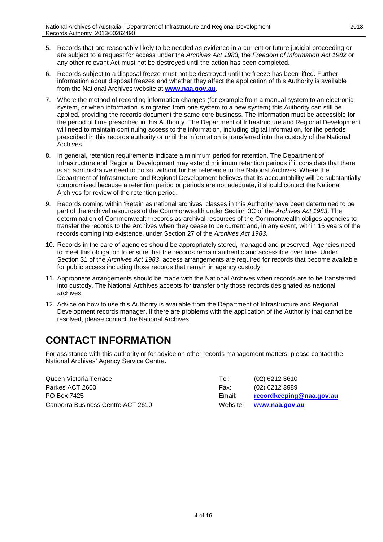- 5. Records that are reasonably likely to be needed as evidence in a current or future judicial proceeding or are subject to a request for access under the *Archives Act 1983,* the *Freedom of Information Act 1982* or any other relevant Act must not be destroyed until the action has been completed.
- 6. Records subject to a disposal freeze must not be destroyed until the freeze has been lifted. Further information about disposal freezes and whether they affect the application of this Authority is available from the National Archives website at **[www.naa.gov.au](http://www.naa.gov.au/)**.
- 7. Where the method of recording information changes (for example from a manual system to an electronic system, or when information is migrated from one system to a new system) this Authority can still be applied, providing the records document the same core business. The information must be accessible for the period of time prescribed in this Authority. The Department of Infrastructure and Regional Development will need to maintain continuing access to the information, including digital information, for the periods prescribed in this records authority or until the information is transferred into the custody of the National Archives.
- 8. In general, retention requirements indicate a minimum period for retention. The Department of Infrastructure and Regional Development may extend minimum retention periods if it considers that there is an administrative need to do so, without further reference to the National Archives. Where the Department of Infrastructure and Regional Development believes that its accountability will be substantially compromised because a retention period or periods are not adequate, it should contact the National Archives for review of the retention period.
- 9. Records coming within 'Retain as national archives' classes in this Authority have been determined to be part of the archival resources of the Commonwealth under Section 3C of the *Archives Act 1983*. The determination of Commonwealth records as archival resources of the Commonwealth obliges agencies to transfer the records to the Archives when they cease to be current and, in any event, within 15 years of the records coming into existence, under Section 27 of the *Archives Act 1983*.
- 10. Records in the care of agencies should be appropriately stored, managed and preserved. Agencies need to meet this obligation to ensure that the records remain authentic and accessible over time. Under Section 31 of the *Archives Act 1983*, access arrangements are required for records that become available for public access including those records that remain in agency custody.
- 11. Appropriate arrangements should be made with the National Archives when records are to be transferred into custody. The National Archives accepts for transfer only those records designated as national archives.
- 12. Advice on how to use this Authority is available from the Department of Infrastructure and Regional Development records manager. If there are problems with the application of the Authority that cannot be resolved, please contact the National Archives.

### <span id="page-3-0"></span>**CONTACT INFORMATION**

For assistance with this authority or for advice on other records management matters, please contact the National Archives' Agency Service Centre.

| Queen Victoria Terrace            | Tel:   | $(02)$ 6212 3610         |
|-----------------------------------|--------|--------------------------|
| Parkes ACT 2600                   | Fax:   | $(02)$ 6212 3989         |
| PO Box 7425                       | Email: | recordkeeping@naa.gov.au |
| Canberra Business Centre ACT 2610 |        | Website: www.naa.gov.au  |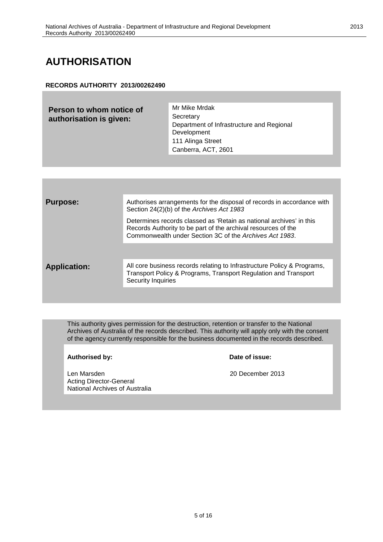## <span id="page-4-0"></span>**AUTHORISATION**

#### **RECORDS AUTHORITY 2013/00262490**

| Person to whom notice of<br>authorisation is given: | Mr Mike Mrdak<br>Secretary<br>Department of Infrastructure and Regional<br>Development<br>111 Alinga Street<br>Canberra, ACT, 2601 |
|-----------------------------------------------------|------------------------------------------------------------------------------------------------------------------------------------|
|                                                     |                                                                                                                                    |

| <b>Purpose:</b>     | Authorises arrangements for the disposal of records in accordance with<br>Section 24(2)(b) of the Archives Act 1983                                                                             |
|---------------------|-------------------------------------------------------------------------------------------------------------------------------------------------------------------------------------------------|
|                     | Determines records classed as 'Retain as national archives' in this<br>Records Authority to be part of the archival resources of the<br>Commonwealth under Section 3C of the Archives Act 1983. |
|                     |                                                                                                                                                                                                 |
| <b>Application:</b> | All core business records relating to Infrastructure Policy & Programs,<br>Transport Policy & Programs, Transport Regulation and Transport<br>Security Inquiries                                |
|                     |                                                                                                                                                                                                 |

This authority gives permission for the destruction, retention or transfer to the National Archives of Australia of the records described. This authority will apply only with the consent of the agency currently responsible for the business documented in the records described.

**Authorised by: Date of issue:**

Len Marsden 2013 begin als der anti-Acting Director-General National Archives of Australia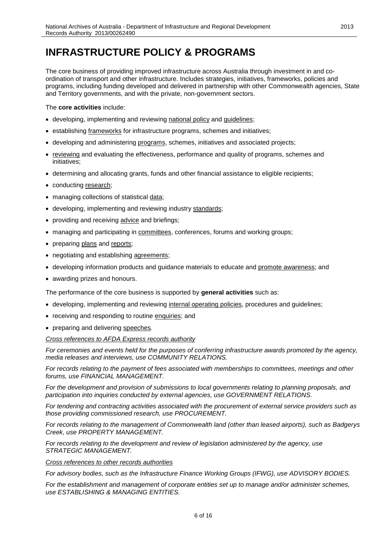### <span id="page-5-0"></span>**INFRASTRUCTURE POLICY & PROGRAMS**

The core business of providing improved infrastructure across Australia through investment in and coordination of transport and other infrastructure. Includes strategies, initiatives, frameworks, policies and programs, including funding developed and delivered in partnership with other Commonwealth agencies, State and Territory governments, and with the private, non-government sectors.

The **core activities** include:

- developing, implementing and reviewing national policy and guidelines;
- establishing frameworks for infrastructure programs, schemes and initiatives;
- developing and administering programs, schemes, initiatives and associated projects;
- reviewing and evaluating the effectiveness, performance and quality of programs, schemes and initiatives;
- determining and allocating grants, funds and other financial assistance to eligible recipients;
- conducting research;
- managing collections of statistical data;
- developing, implementing and reviewing industry standards;
- providing and receiving advice and briefings;
- managing and participating in committees, conferences, forums and working groups;
- preparing plans and reports;
- negotiating and establishing agreements;
- developing information products and guidance materials to educate and promote awareness; and
- awarding prizes and honours.

The performance of the core business is supported by **general activities** such as:

- developing, implementing and reviewing internal operating policies, procedures and guidelines;
- receiving and responding to routine enquiries; and
- preparing and delivering speeches.

*Cross references to AFDA Express records authority*

*For ceremonies and events held for the purposes of conferring infrastructure awards promoted by the agency, media releases and interviews, use COMMUNITY RELATIONS.*

*For records relating to the payment of fees associated with memberships to committees, meetings and other forums, use FINANCIAL MANAGEMENT.*

*For the development and provision of submissions to local governments relating to planning proposals, and participation into inquiries conducted by external agencies, use GOVERNMENT RELATIONS.*

*For tendering and contracting activities associated with the procurement of external service providers such as those providing commissioned research, use PROCUREMENT.*

*For records relating to the management of Commonwealth land (other than leased airports), such as Badgerys Creek, use PROPERTY MANAGEMENT.*

*For records relating to the development and review of legislation administered by the agency, use STRATEGIC MANAGEMENT.*

#### *Cross references to other records authorities*

*For advisory bodies, such as the Infrastructure Finance Working Groups (IFWG), use ADVISORY BODIES.*

*For the establishment and management of corporate entities set up to manage and/or administer schemes, use ESTABLISHING & MANAGING ENTITIES.*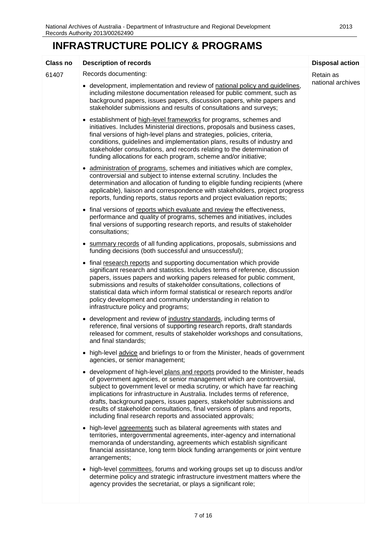# **INFRASTRUCTURE POLICY & PROGRAMS**

| <b>Class no</b> | <b>Description of records</b>                                                                                                                                                                                                                                                                                                                                                                                                                                                                                                          | <b>Disposal action</b>         |
|-----------------|----------------------------------------------------------------------------------------------------------------------------------------------------------------------------------------------------------------------------------------------------------------------------------------------------------------------------------------------------------------------------------------------------------------------------------------------------------------------------------------------------------------------------------------|--------------------------------|
| 61407           | Records documenting:<br>• development, implementation and review of national policy and guidelines,<br>including milestone documentation released for public comment, such as<br>background papers, issues papers, discussion papers, white papers and<br>stakeholder submissions and results of consultations and surveys;                                                                                                                                                                                                            | Retain as<br>national archives |
|                 | • establishment of high-level frameworks for programs, schemes and<br>initiatives. Includes Ministerial directions, proposals and business cases,<br>final versions of high-level plans and strategies, policies, criteria,<br>conditions, guidelines and implementation plans, results of industry and<br>stakeholder consultations, and records relating to the determination of<br>funding allocations for each program, scheme and/or initiative;                                                                                  |                                |
|                 | administration of programs, schemes and initiatives which are complex,<br>controversial and subject to intense external scrutiny. Includes the<br>determination and allocation of funding to eligible funding recipients (where<br>applicable), liaison and correspondence with stakeholders, project progress<br>reports, funding reports, status reports and project evaluation reports;                                                                                                                                             |                                |
|                 | • final versions of reports which evaluate and review the effectiveness,<br>performance and quality of programs, schemes and initiatives, includes<br>final versions of supporting research reports, and results of stakeholder<br>consultations;                                                                                                                                                                                                                                                                                      |                                |
|                 | • summary records of all funding applications, proposals, submissions and<br>funding decisions (both successful and unsuccessful);                                                                                                                                                                                                                                                                                                                                                                                                     |                                |
|                 | • final research reports and supporting documentation which provide<br>significant research and statistics. Includes terms of reference, discussion<br>papers, issues papers and working papers released for public comment,<br>submissions and results of stakeholder consultations, collections of<br>statistical data which inform formal statistical or research reports and/or<br>policy development and community understanding in relation to<br>infrastructure policy and programs;                                            |                                |
|                 | • development and review of industry standards, including terms of<br>reference, final versions of supporting research reports, draft standards<br>released for comment, results of stakeholder workshops and consultations,<br>and final standards;                                                                                                                                                                                                                                                                                   |                                |
|                 | • high-level advice and briefings to or from the Minister, heads of government<br>agencies, or senior management;                                                                                                                                                                                                                                                                                                                                                                                                                      |                                |
|                 | • development of high-level plans and reports provided to the Minister, heads<br>of government agencies, or senior management which are controversial,<br>subject to government level or media scrutiny, or which have far reaching<br>implications for infrastructure in Australia. Includes terms of reference,<br>drafts, background papers, issues papers, stakeholder submissions and<br>results of stakeholder consultations, final versions of plans and reports,<br>including final research reports and associated approvals; |                                |
|                 | • high-level agreements such as bilateral agreements with states and<br>territories, intergovernmental agreements, inter-agency and international<br>memoranda of understanding, agreements which establish significant<br>financial assistance, long term block funding arrangements or joint venture<br>arrangements;                                                                                                                                                                                                                |                                |
|                 | • high-level committees, forums and working groups set up to discuss and/or<br>determine policy and strategic infrastructure investment matters where the<br>agency provides the secretariat, or plays a significant role;                                                                                                                                                                                                                                                                                                             |                                |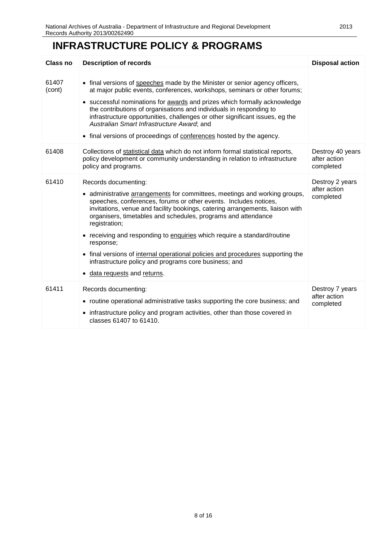### **INFRASTRUCTURE POLICY & PROGRAMS**

| Class no        | <b>Description of records</b>                                                                                                                                                                                                                                                                                                                                                                                                                                                                                              | <b>Disposal action</b>                        |
|-----------------|----------------------------------------------------------------------------------------------------------------------------------------------------------------------------------------------------------------------------------------------------------------------------------------------------------------------------------------------------------------------------------------------------------------------------------------------------------------------------------------------------------------------------|-----------------------------------------------|
| 61407<br>(cont) | • final versions of speeches made by the Minister or senior agency officers,<br>at major public events, conferences, workshops, seminars or other forums;<br>• successful nominations for <b>awards</b> and prizes which formally acknowledge<br>the contributions of organisations and individuals in responding to<br>infrastructure opportunities, challenges or other significant issues, eg the<br>Australian Smart Infrastructure Award; and<br>• final versions of proceedings of conferences hosted by the agency. |                                               |
| 61408           | Collections of statistical data which do not inform formal statistical reports,<br>policy development or community understanding in relation to infrastructure<br>policy and programs.                                                                                                                                                                                                                                                                                                                                     | Destroy 40 years<br>after action<br>completed |
| 61410           | Records documenting:<br>• administrative arrangements for committees, meetings and working groups,<br>speeches, conferences, forums or other events. Includes notices,<br>invitations, venue and facility bookings, catering arrangements, liaison with<br>organisers, timetables and schedules, programs and attendance<br>registration;<br>• receiving and responding to enquiries which require a standard/routine<br>response;                                                                                         | Destroy 2 years<br>after action<br>completed  |
|                 | • final versions of internal operational policies and procedures supporting the<br>infrastructure policy and programs core business; and<br>data requests and returns.                                                                                                                                                                                                                                                                                                                                                     |                                               |
| 61411           | Records documenting:<br>• routine operational administrative tasks supporting the core business; and<br>• infrastructure policy and program activities, other than those covered in<br>classes 61407 to 61410.                                                                                                                                                                                                                                                                                                             | Destroy 7 years<br>after action<br>completed  |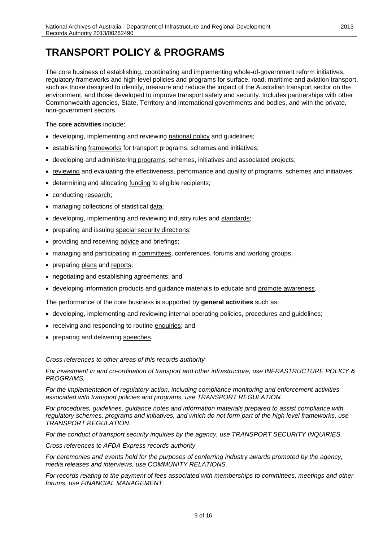### <span id="page-8-0"></span>**TRANSPORT POLICY & PROGRAMS**

The core business of establishing, coordinating and implementing whole-of-government reform initiatives, regulatory frameworks and high-level policies and programs for surface, road, maritime and aviation transport, such as those designed to identify, measure and reduce the impact of the Australian transport sector on the environment, and those developed to improve transport safety and security. Includes partnerships with other Commonwealth agencies, State, Territory and international governments and bodies, and with the private, non-government sectors.

#### The **core activities** include:

- developing, implementing and reviewing national policy and guidelines;
- establishing frameworks for transport programs, schemes and initiatives;
- developing and administering programs, schemes, initiatives and associated projects;
- reviewing and evaluating the effectiveness, performance and quality of programs, schemes and initiatives;
- determining and allocating funding to eligible recipients;
- conducting research;
- managing collections of statistical data;
- developing, implementing and reviewing industry rules and standards;
- preparing and issuing special security directions;
- providing and receiving advice and briefings;
- managing and participating in committees, conferences, forums and working groups;
- preparing plans and reports;
- negotiating and establishing agreements; and
- developing information products and guidance materials to educate and promote awareness.

The performance of the core business is supported by **general activities** such as:

- developing, implementing and reviewing internal operating policies, procedures and guidelines;
- receiving and responding to routine enquiries; and
- preparing and delivering speeches.

#### *Cross references to other areas of this records authority*

*For investment in and co-ordination of transport and other infrastructure, use INFRASTRUCTURE POLICY & PROGRAMS.*

*For the implementation of regulatory action, including compliance monitoring and enforcement activities associated with transport policies and programs, use TRANSPORT REGULATION.*

*For procedures, guidelines, guidance notes and information materials prepared to assist compliance with regulatory schemes, programs and initiatives, and which do not form part of the high level frameworks, use TRANSPORT REGULATION.*

*For the conduct of transport security inquiries by the agency, use TRANSPORT SECURITY INQUIRIES.*

*Cross references to AFDA Express records authority*

*For ceremonies and events held for the purposes of conferring industry awards promoted by the agency, media releases and interviews, use COMMUNITY RELATIONS.*

*For records relating to the payment of fees associated with memberships to committees, meetings and other forums, use FINANCIAL MANAGEMENT.*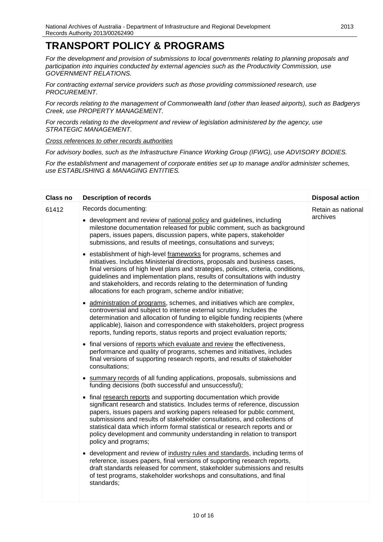### **TRANSPORT POLICY & PROGRAMS**

*For the development and provision of submissions to local governments relating to planning proposals and participation into inquiries conducted by external agencies such as the Productivity Commission, use GOVERNMENT RELATIONS.*

*For contracting external service providers such as those providing commissioned research, use PROCUREMENT.*

*For records relating to the management of Commonwealth land (other than leased airports), such as Badgerys Creek, use PROPERTY MANAGEMENT.*

*For records relating to the development and review of legislation administered by the agency, use STRATEGIC MANAGEMENT.*

*Cross references to other records authorities*

*For advisory bodies, such as the Infrastructure Finance Working Group (IFWG), use ADVISORY BODIES.*

*For the establishment and management of corporate entities set up to manage and/or administer schemes, use ESTABLISHING & MANAGING ENTITIES.*

| <b>Class no</b> | <b>Description of records</b>                                                                                                                                                                                                                                                                                                                                                                                                                                                              | <b>Disposal action</b>         |
|-----------------|--------------------------------------------------------------------------------------------------------------------------------------------------------------------------------------------------------------------------------------------------------------------------------------------------------------------------------------------------------------------------------------------------------------------------------------------------------------------------------------------|--------------------------------|
| 61412           | Records documenting:<br>• development and review of national policy and guidelines, including<br>milestone documentation released for public comment, such as background<br>papers, issues papers, discussion papers, white papers, stakeholder<br>submissions, and results of meetings, consultations and surveys;                                                                                                                                                                        | Retain as national<br>archives |
|                 | • establishment of high-level frameworks for programs, schemes and<br>initiatives. Includes Ministerial directions, proposals and business cases,<br>final versions of high level plans and strategies, policies, criteria, conditions,<br>guidelines and implementation plans, results of consultations with industry<br>and stakeholders, and records relating to the determination of funding<br>allocations for each program, scheme and/or initiative;                                |                                |
|                 | administration of programs, schemes, and initiatives which are complex,<br>controversial and subject to intense external scrutiny. Includes the<br>determination and allocation of funding to eligible funding recipients (where<br>applicable), liaison and correspondence with stakeholders, project progress<br>reports, funding reports, status reports and project evaluation reports;                                                                                                |                                |
|                 | • final versions of reports which evaluate and review the effectiveness,<br>performance and quality of programs, schemes and initiatives, includes<br>final versions of supporting research reports, and results of stakeholder<br>consultations;                                                                                                                                                                                                                                          |                                |
|                 | • summary records of all funding applications, proposals, submissions and<br>funding decisions (both successful and unsuccessful);                                                                                                                                                                                                                                                                                                                                                         |                                |
|                 | • final research reports and supporting documentation which provide<br>significant research and statistics. Includes terms of reference, discussion<br>papers, issues papers and working papers released for public comment,<br>submissions and results of stakeholder consultations, and collections of<br>statistical data which inform formal statistical or research reports and or<br>policy development and community understanding in relation to transport<br>policy and programs; |                                |
|                 | • development and review of industry rules and standards, including terms of<br>reference, issues papers, final versions of supporting research reports,<br>draft standards released for comment, stakeholder submissions and results<br>of test programs, stakeholder workshops and consultations, and final<br>standards;                                                                                                                                                                |                                |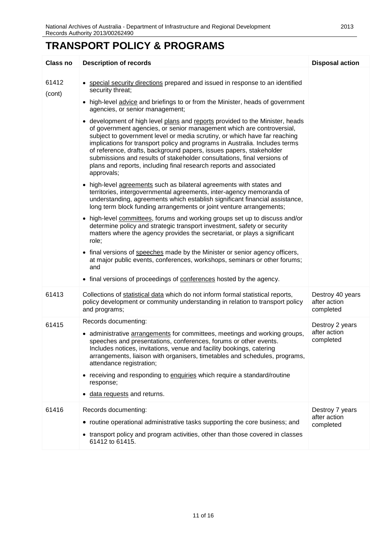### **TRANSPORT POLICY & PROGRAMS**

| <b>Class no</b> | <b>Description of records</b>                                                                                                                                                                                                                                                                                                                                                                                                                                                                                                                                                                                                                                                                                                                                                                                                                                                                                                                                                                                                                                                                                                                                                                                                                                                                                                                                                                                                                                                                                                                                                       | <b>Disposal action</b>                        |
|-----------------|-------------------------------------------------------------------------------------------------------------------------------------------------------------------------------------------------------------------------------------------------------------------------------------------------------------------------------------------------------------------------------------------------------------------------------------------------------------------------------------------------------------------------------------------------------------------------------------------------------------------------------------------------------------------------------------------------------------------------------------------------------------------------------------------------------------------------------------------------------------------------------------------------------------------------------------------------------------------------------------------------------------------------------------------------------------------------------------------------------------------------------------------------------------------------------------------------------------------------------------------------------------------------------------------------------------------------------------------------------------------------------------------------------------------------------------------------------------------------------------------------------------------------------------------------------------------------------------|-----------------------------------------------|
| 61412<br>(cont) | • special security directions prepared and issued in response to an identified<br>security threat;<br>• high-level advice and briefings to or from the Minister, heads of government<br>agencies, or senior management;<br>• development of high level plans and reports provided to the Minister, heads<br>of government agencies, or senior management which are controversial,<br>subject to government level or media scrutiny, or which have far reaching<br>implications for transport policy and programs in Australia. Includes terms<br>of reference, drafts, background papers, issues papers, stakeholder<br>submissions and results of stakeholder consultations, final versions of<br>plans and reports, including final research reports and associated<br>approvals;<br>high-level agreements such as bilateral agreements with states and<br>territories, intergovernmental agreements, inter-agency memoranda of<br>understanding, agreements which establish significant financial assistance,<br>long term block funding arrangements or joint venture arrangements;<br>• high-level committees, forums and working groups set up to discuss and/or<br>determine policy and strategic transport investment, safety or security<br>matters where the agency provides the secretariat, or plays a significant<br>role;<br>• final versions of speeches made by the Minister or senior agency officers,<br>at major public events, conferences, workshops, seminars or other forums;<br>and<br>• final versions of proceedings of conferences hosted by the agency. |                                               |
| 61413           | Collections of statistical data which do not inform formal statistical reports,<br>policy development or community understanding in relation to transport policy<br>and programs;                                                                                                                                                                                                                                                                                                                                                                                                                                                                                                                                                                                                                                                                                                                                                                                                                                                                                                                                                                                                                                                                                                                                                                                                                                                                                                                                                                                                   | Destroy 40 years<br>after action<br>completed |
| 61415           | Records documenting:<br>• administrative arrangements for committees, meetings and working groups,<br>speeches and presentations, conferences, forums or other events.<br>Includes notices, invitations, venue and facility bookings, catering<br>arrangements, liaison with organisers, timetables and schedules, programs,<br>attendance registration;<br>• receiving and responding to enquiries which require a standard/routine<br>response;<br>data requests and returns.                                                                                                                                                                                                                                                                                                                                                                                                                                                                                                                                                                                                                                                                                                                                                                                                                                                                                                                                                                                                                                                                                                     | Destroy 2 years<br>after action<br>completed  |
| 61416           | Records documenting:<br>• routine operational administrative tasks supporting the core business; and<br>• transport policy and program activities, other than those covered in classes<br>61412 to 61415.                                                                                                                                                                                                                                                                                                                                                                                                                                                                                                                                                                                                                                                                                                                                                                                                                                                                                                                                                                                                                                                                                                                                                                                                                                                                                                                                                                           | Destroy 7 years<br>after action<br>completed  |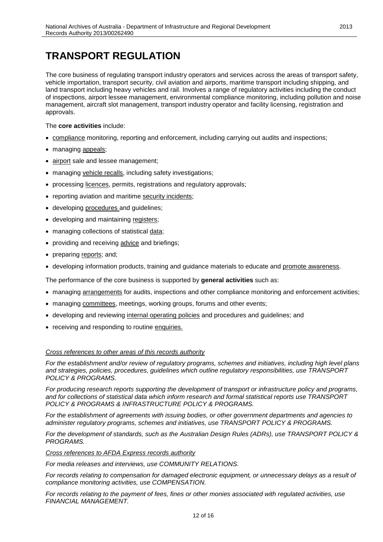### <span id="page-11-0"></span>**TRANSPORT REGULATION**

The core business of regulating transport industry operators and services across the areas of transport safety, vehicle importation, transport security, civil aviation and airports, maritime transport including shipping, and land transport including heavy vehicles and rail. Involves a range of regulatory activities including the conduct of inspections, airport lessee management, environmental compliance monitoring, including pollution and noise management, aircraft slot management, transport industry operator and facility licensing, registration and approvals.

#### The **core activities** include:

- compliance monitoring, reporting and enforcement, including carrying out audits and inspections;
- managing appeals;
- airport sale and lessee management;
- managing vehicle recalls, including safety investigations;
- processing licences, permits, registrations and regulatory approvals;
- reporting aviation and maritime security incidents;
- developing procedures and guidelines;
- developing and maintaining registers;
- managing collections of statistical data;
- providing and receiving advice and briefings;
- preparing reports; and;
- developing information products, training and guidance materials to educate and promote awareness.

The performance of the core business is supported by **general activities** such as:

- managing arrangements for audits, inspections and other compliance monitoring and enforcement activities;
- managing committees, meetings, working groups, forums and other events;
- developing and reviewing internal operating policies and procedures and guidelines; and
- receiving and responding to routine enquiries.

#### *Cross references to other areas of this records authority*

*For the establishment and/or review of regulatory programs, schemes and initiatives, including high level plans and strategies, policies, procedures, guidelines which outline regulatory responsibilities, use TRANSPORT POLICY & PROGRAMS.*

*For producing research reports supporting the development of transport or infrastructure policy and programs, and for collections of statistical data which inform research and formal statistical reports use TRANSPORT POLICY & PROGRAMS & INFRASTRUCTURE POLICY & PROGRAMS.*

*For the establishment of agreements with issuing bodies, or other government departments and agencies to administer regulatory programs, schemes and initiatives, use TRANSPORT POLICY & PROGRAMS.*

*For the development of standards, such as the Australian Design Rules (ADRs), use TRANSPORT POLICY & PROGRAMS.*

#### *Cross references to AFDA Express records authority*

*For media releases and interviews, use COMMUNITY RELATIONS.*

*For records relating to compensation for damaged electronic equipment, or unnecessary delays as a result of compliance monitoring activities, use COMPENSATION.*

*For records relating to the payment of fees, fines or other monies associated with regulated activities, use FINANCIAL MANAGEMENT.*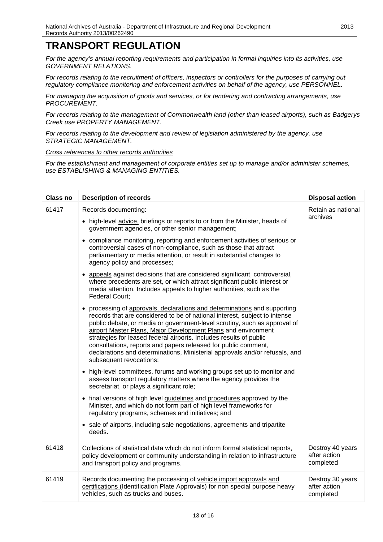### **TRANSPORT REGULATION**

*For the agency's annual reporting requirements and participation in formal inquiries into its activities, use GOVERNMENT RELATIONS.*

*For records relating to the recruitment of officers, inspectors or controllers for the purposes of carrying out regulatory compliance monitoring and enforcement activities on behalf of the agency, use PERSONNEL.*

*For managing the acquisition of goods and services, or for tendering and contracting arrangements, use PROCUREMENT.*

*For records relating to the management of Commonwealth land (other than leased airports), such as Badgerys Creek use PROPERTY MANAGEMENT.*

*For records relating to the development and review of legislation administered by the agency, use STRATEGIC MANAGEMENT.*

#### *Cross references to other records authorities*

*For the establishment and management of corporate entities set up to manage and/or administer schemes, use ESTABLISHING & MANAGING ENTITIES.*

| <b>Class no</b> | <b>Description of records</b>                                                                                                                                                                                                                                                                                                                                                                                                                                                                                                                         | <b>Disposal action</b>                        |
|-----------------|-------------------------------------------------------------------------------------------------------------------------------------------------------------------------------------------------------------------------------------------------------------------------------------------------------------------------------------------------------------------------------------------------------------------------------------------------------------------------------------------------------------------------------------------------------|-----------------------------------------------|
| 61417           | Records documenting:                                                                                                                                                                                                                                                                                                                                                                                                                                                                                                                                  | Retain as national<br>archives                |
|                 | • high-level advice, briefings or reports to or from the Minister, heads of<br>government agencies, or other senior management;                                                                                                                                                                                                                                                                                                                                                                                                                       |                                               |
|                 | • compliance monitoring, reporting and enforcement activities of serious or<br>controversial cases of non-compliance, such as those that attract<br>parliamentary or media attention, or result in substantial changes to<br>agency policy and processes;                                                                                                                                                                                                                                                                                             |                                               |
|                 | appeals against decisions that are considered significant, controversial,<br>where precedents are set, or which attract significant public interest or<br>media attention. Includes appeals to higher authorities, such as the<br>Federal Court;                                                                                                                                                                                                                                                                                                      |                                               |
|                 | processing of approvals, declarations and determinations and supporting<br>records that are considered to be of national interest, subject to intense<br>public debate, or media or government-level scrutiny, such as approval of<br>airport Master Plans, Major Development Plans and environment<br>strategies for leased federal airports. Includes results of public<br>consultations, reports and papers released for public comment,<br>declarations and determinations, Ministerial approvals and/or refusals, and<br>subsequent revocations; |                                               |
|                 | • high-level committees, forums and working groups set up to monitor and<br>assess transport regulatory matters where the agency provides the<br>secretariat, or plays a significant role;                                                                                                                                                                                                                                                                                                                                                            |                                               |
|                 | • final versions of high level guidelines and procedures approved by the<br>Minister, and which do not form part of high level frameworks for<br>regulatory programs, schemes and initiatives; and                                                                                                                                                                                                                                                                                                                                                    |                                               |
|                 | • sale of airports, including sale negotiations, agreements and tripartite<br>deeds.                                                                                                                                                                                                                                                                                                                                                                                                                                                                  |                                               |
| 61418           | Collections of statistical data which do not inform formal statistical reports,<br>policy development or community understanding in relation to infrastructure<br>and transport policy and programs.                                                                                                                                                                                                                                                                                                                                                  | Destroy 40 years<br>after action<br>completed |
| 61419           | Records documenting the processing of vehicle import approvals and<br>certifications (Identification Plate Approvals) for non special purpose heavy<br>vehicles, such as trucks and buses.                                                                                                                                                                                                                                                                                                                                                            | Destroy 30 years<br>after action<br>completed |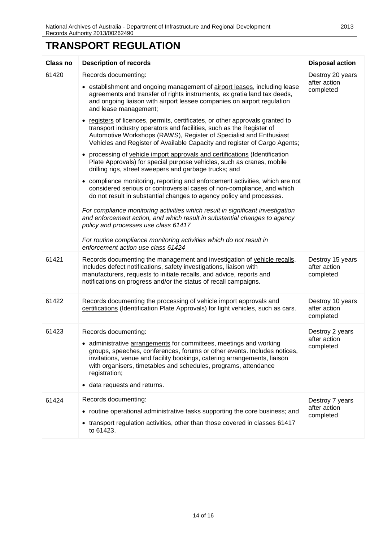# **TRANSPORT REGULATION**

| <b>Class no</b> | <b>Description of records</b>                                                                                                                                                                                                                                                                                                                                             | <b>Disposal action</b>                        |
|-----------------|---------------------------------------------------------------------------------------------------------------------------------------------------------------------------------------------------------------------------------------------------------------------------------------------------------------------------------------------------------------------------|-----------------------------------------------|
| 61420           | Records documenting:                                                                                                                                                                                                                                                                                                                                                      | Destroy 20 years<br>after action              |
|                 | • establishment and ongoing management of airport leases, including lease<br>agreements and transfer of rights instruments, ex gratia land tax deeds,<br>and ongoing liaison with airport lessee companies on airport regulation<br>and lease management;                                                                                                                 | completed                                     |
|                 | registers of licences, permits, certificates, or other approvals granted to<br>transport industry operators and facilities, such as the Register of<br>Automotive Workshops (RAWS), Register of Specialist and Enthusiast<br>Vehicles and Register of Available Capacity and register of Cargo Agents;                                                                    |                                               |
|                 | processing of vehicle import approvals and certifications (Identification<br>$\bullet$<br>Plate Approvals) for special purpose vehicles, such as cranes, mobile<br>drilling rigs, street sweepers and garbage trucks; and                                                                                                                                                 |                                               |
|                 | • compliance monitoring, reporting and enforcement activities, which are not<br>considered serious or controversial cases of non-compliance, and which<br>do not result in substantial changes to agency policy and processes.                                                                                                                                            |                                               |
|                 | For compliance monitoring activities which result in significant investigation<br>and enforcement action, and which result in substantial changes to agency<br>policy and processes use class 61417                                                                                                                                                                       |                                               |
|                 | For routine compliance monitoring activities which do not result in<br>enforcement action use class 61424                                                                                                                                                                                                                                                                 |                                               |
| 61421           | Records documenting the management and investigation of vehicle recalls.<br>Includes defect notifications, safety investigations, liaison with<br>manufacturers, requests to initiate recalls, and advice, reports and<br>notifications on progress and/or the status of recall campaigns.                                                                                | Destroy 15 years<br>after action<br>completed |
| 61422           | Records documenting the processing of vehicle import approvals and<br>certifications (Identification Plate Approvals) for light vehicles, such as cars.                                                                                                                                                                                                                   | Destroy 10 years<br>after action<br>completed |
| 61423           | Records documenting:<br>• administrative arrangements for committees, meetings and working<br>groups, speeches, conferences, forums or other events. Includes notices,<br>invitations, venue and facility bookings, catering arrangements, liaison<br>with organisers, timetables and schedules, programs, attendance<br>registration;<br>data requests and returns.<br>٠ | Destroy 2 years<br>after action<br>completed  |
| 61424           | Records documenting:<br>• routine operational administrative tasks supporting the core business; and<br>transport regulation activities, other than those covered in classes 61417<br>to 61423.                                                                                                                                                                           | Destroy 7 years<br>after action<br>completed  |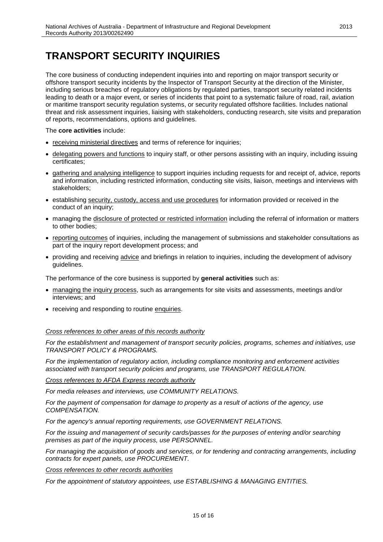### <span id="page-14-0"></span>**TRANSPORT SECURITY INQUIRIES**

The core business of conducting independent inquiries into and reporting on major transport security or offshore transport security incidents by the Inspector of Transport Security at the direction of the Minister, including serious breaches of regulatory obligations by regulated parties, transport security related incidents leading to death or a major event, or series of incidents that point to a systematic failure of road, rail, aviation or maritime transport security regulation systems, or security regulated offshore facilities. Includes national threat and risk assessment inquiries, liaising with stakeholders, conducting research, site visits and preparation of reports, recommendations, options and guidelines.

#### The **core activities** include:

- receiving ministerial directives and terms of reference for inquiries;
- delegating powers and functions to inquiry staff, or other persons assisting with an inquiry, including issuing certificates;
- gathering and analysing intelligence to support inquiries including requests for and receipt of, advice, reports and information, including restricted information, conducting site visits, liaison, meetings and interviews with stakeholders;
- establishing security, custody, access and use procedures for information provided or received in the conduct of an inquiry;
- managing the disclosure of protected or restricted information including the referral of information or matters to other bodies;
- reporting outcomes of inquiries, including the management of submissions and stakeholder consultations as part of the inquiry report development process; and
- providing and receiving advice and briefings in relation to inquiries, including the development of advisory guidelines.

The performance of the core business is supported by **general activities** such as:

- managing the inquiry process, such as arrangements for site visits and assessments, meetings and/or interviews; and
- receiving and responding to routine enquiries.

#### *Cross references to other areas of this records authority*

*For the establishment and management of transport security policies, programs, schemes and initiatives, use TRANSPORT POLICY & PROGRAMS.*

*For the implementation of regulatory action, including compliance monitoring and enforcement activities associated with transport security policies and programs, use TRANSPORT REGULATION.*

*Cross references to AFDA Express records authority*

*For media releases and interviews, use COMMUNITY RELATIONS.*

*For the payment of compensation for damage to property as a result of actions of the agency, use COMPENSATION.*

*For the agency's annual reporting requirements, use GOVERNMENT RELATIONS.*

*For the issuing and management of security cards/passes for the purposes of entering and/or searching premises as part of the inquiry process, use PERSONNEL.*

*For managing the acquisition of goods and services, or for tendering and contracting arrangements, including contracts for expert panels, use PROCUREMENT.*

#### *Cross references to other records authorities*

*For the appointment of statutory appointees, use ESTABLISHING & MANAGING ENTITIES.*